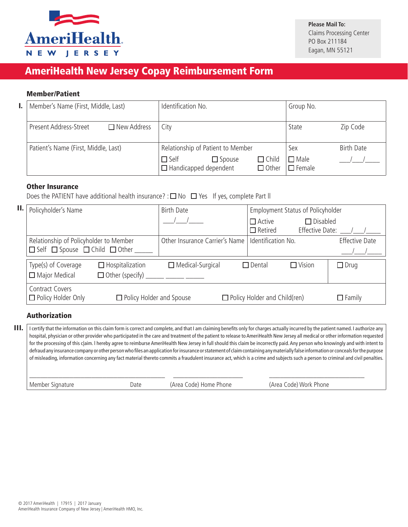

## AmeriHealth New Jersey Copay Reimbursement Form

## Member/Patient

| I. I | Member's Name (First, Middle, Last)          | Identification No.                                                                           | Group No.                       |
|------|----------------------------------------------|----------------------------------------------------------------------------------------------|---------------------------------|
|      | Present Address-Street<br>$\Box$ New Address | City                                                                                         | Zip Code<br>State               |
|      | Patient's Name (First, Middle, Last)         | Relationship of Patient to Member                                                            | <b>Birth Date</b><br>Sex        |
|      |                                              | $\Box$ Self<br>$\Box$ Child<br>$\Box$ Spouse<br>$\Box$ Handicapped dependent<br>$\Box$ Other | $\square$ Male<br>$\Box$ Female |

### Other Insurance

Does the PATIENT have additional health insurance? :  $\Box$  No  $\Box$  Yes If yes, complete Part II

| П. | Policyholder's Name                                                                           |                                                                      | <b>Birth Date</b>                   |  | Employment Status of Policyholder                                     |                       |
|----|-----------------------------------------------------------------------------------------------|----------------------------------------------------------------------|-------------------------------------|--|-----------------------------------------------------------------------|-----------------------|
|    |                                                                                               |                                                                      |                                     |  | $\Box$ Disabled<br>$\Box$ Active<br>Effective Date:<br>$\Box$ Retired |                       |
|    | Relationship of Policyholder to Member<br>$\Box$ Self $\Box$ Spouse $\Box$ Child $\Box$ Other |                                                                      | Other Insurance Carrier's Name      |  | Identification No.                                                    | <b>Effective Date</b> |
|    | Type(s) of Coverage<br>$\Box$ Major Medical                                                   | $\Box$ Hospitalization<br>$\Box$ Other (specify) ______ ______ _____ | $\Box$ Medical-Surgical             |  | $\Box$ Dental<br>$\Box$ Vision                                        | $\Box$ Drug           |
|    | Contract Covers<br>$\Box$ Policy Holder and Spouse<br>$\Box$ Policy Holder Only               |                                                                      | $\Box$ Policy Holder and Child(ren) |  | $\Box$ Family                                                         |                       |

## Authorization

 $\prod$  I certify that the information on this claim form is correct and complete, and that I am claiming benefits only for charges actually incurred by the patient named. I authorize any hospital, physician or other provider who participated in the care and treatment of the patient to release to AmeriHealth New Jersey all medical or other information requested for the processing of this claim. I hereby agree to reimburse AmeriHealth New Jersey in full should this claim be incorrectly paid. Any person who knowingly and with intent to defraud any insurance company or other person who files an application for insurance or statement of claim containing any materially false information or conceals for the purpose of misleading, information concerning any fact material thereto commits a fraudulent insurance act, which is a crime and subjects such a person to criminal and civil penalties. \_\_\_\_\_\_\_\_\_\_\_\_\_\_\_\_\_\_\_\_\_\_\_\_\_\_\_\_\_\_\_\_\_\_\_\_\_ \_\_\_\_\_\_\_\_\_\_\_\_\_\_\_\_\_\_\_ \_\_\_\_\_\_\_\_\_\_\_\_\_\_\_\_\_\_\_\_\_\_\_\_\_\_

Member Signature Thomas Date (Area Code) Home Phone (Area Code) Work Phone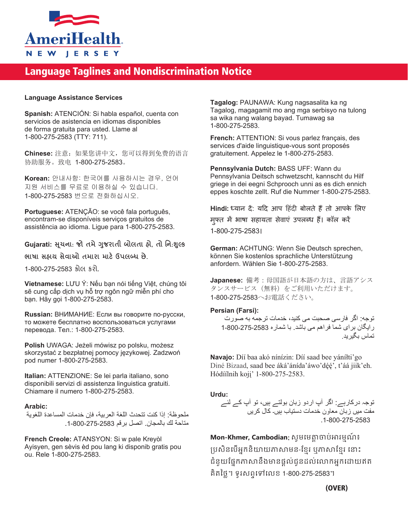

# Language Taglines and Nondiscrimination Notice

#### **Language Assistance Services**

**Spanish:** ATENCIÓN: Si habla español, cuenta con servicios de asistencia en idiomas disponibles de forma gratuita para usted. Llame al 1-800-275-2583 (TTY: 711).

**Chinese:** 注意:如果您讲中文,您可以得到免费的语言 协助服务。致电 1-800-275-2583。

**Korean:** 안내사항: 한국어를 사용하시는 경우, 언어 지원 서비스를 무료로 이용하실 수 있습니다. 1-800-275-2583 번으로 전화하십시오.

**Portuguese:** ATENÇÃO: se você fala português, encontram-se disponíveis serviços gratuitos de assistência ao idioma. Ligue para 1-800-275-2583.

### **Gujarati: �ચના ૂ** : **જો તમે�જરાતી ુ બોલતા હો**, **તો િન**:**���ુ**

**ભાષા સહાય સેવાઓ તમારા માટ���લ�� છે**.

1-800-275-2583 કોલ કરો.

**Vietnamese:** LƯU Ý: Nếu bạn nói tiếng Việt, chúng tôi sẽ cung cấp dịch vụ hỗ trợ ngôn ngữ miễn phí cho bạn. Hãy gọi 1-800-275-2583.

**Russian:** ВНИМАНИЕ: Если вы говорите по-русски, то можете бесплатно воспользоваться услугами перевода. Тел.: 1-800-275-2583.

**Polish** UWAGA: Jeżeli mówisz po polsku, możesz skorzystać z bezpłatnej pomocy językowej. Zadzwoń pod numer 1-800-275-2583.

**Italian:** ATTENZIONE: Se lei parla italiano, sono disponibili servizi di assistenza linguistica gratuiti. Chiamare il numero 1-800-275-2583.

#### **Arabic:**

ملحوظة: إذا كنت تتحدث اللغة العربية، فإن خدمات المساعدة اللغوية متاحة لك بالمجان. اتصل برقم .1-800-275-2583

**French Creole:** ATANSYON: Si w pale Kreyòl Ayisyen, gen sèvis èd pou lang ki disponib gratis pou ou. Rele 1-800-275-2583.

**Tagalog:** PAUNAWA: Kung nagsasalita ka ng Tagalog, magagamit mo ang mga serbisyo na tulong sa wika nang walang bayad. Tumawag sa 1-800-275-2583.

**French:** ATTENTION: Si vous parlez français, des services d'aide linguistique-vous sont proposés gratuitement. Appelez le 1-800-275-2583.

**Pennsylvania Dutch:** BASS UFF: Wann du Pennsylvania Deitsch schwetzscht, kannscht du Hilf griege in dei eegni Schprooch unni as es dich ennich eppes koschte zellt. Ruf die Nummer 1-800-275-2583.

Hindi: ध्यान दें: यदि आप हिंदी बोलते हैं तो आपके लिए मुफ्त में भाषा सहायता सेवाएं उपलब्ध हैं। कॉल करें 1-800-275-2583।

**German:** ACHTUNG: Wenn Sie Deutsch sprechen, können Sie kostenlos sprachliche Unterstützung anfordern. Wählen Sie 1-800-275-2583.

**Japanese:** 備考:母国語が日本語の方は、言語アシス タンスサービス(無料)をご利用いただけます。 1-800-275-2583へお電話ください。

#### **Persian (Farsi):**

توجه: اگر فارسی صحبت می کنيد، خدمات ترجمه به صورت رايگان برای شما فراھم می باشد. با شماره 1-800-275-2583 تماس بگيريد .

**Navajo:** Díí baa akó nínízin: Díí saad bee yáníłti'go Diné Bizaad, saad bee áká'ánída'áwo'déé', t'áá jiik'eh. Hódíílnih koji' 1-800-275-2583.

**Urdu:**

توجہ درکارہے: اگر آپ اردو زبان بولتے ہيں، تو آپ کے لئے مفت ميں زبان معاون خدمات دستياب ہيں۔ کال کريں .1-800-275-2583

**Mon-Khmer, Cambodian**: សូ�េ��្តចប់�រ�មណ៍ ៖ ប្រសិនបើអ្នកនិយាយភាសាមន-ខ្មែរ ឬភាសាខ្មែរ នោះ ជំនួយផ្នែកភាសានឹងមានផ្តល់់ជូនដល់លោកអ្នកដោយឥត គិតៃថ្ល។ ទូរសពទេទេលខ 1-800-275-2583។

(OVER)